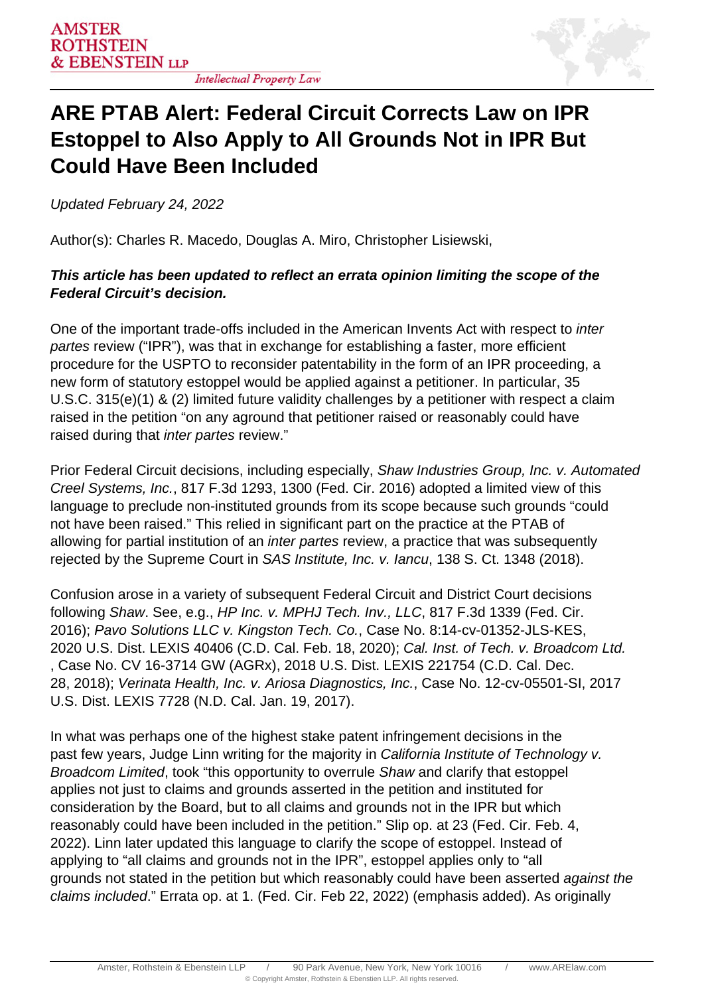

## **ARE PTAB Alert: Federal Circuit Corrects Law on IPR Estoppel to Also Apply to All Grounds Not in IPR But Could Have Been Included**

Updated February 24, 2022

Author(s): Charles R. Macedo, Douglas A. Miro, Christopher Lisiewski,

## **This article has been updated to reflect an errata opinion limiting the scope of the Federal Circuit's decision.**

One of the important trade-offs included in the American Invents Act with respect to inter partes review ("IPR"), was that in exchange for establishing a faster, more efficient procedure for the USPTO to reconsider patentability in the form of an IPR proceeding, a new form of statutory estoppel would be applied against a petitioner. In particular, 35 U.S.C. 315(e)(1) & (2) limited future validity challenges by a petitioner with respect a claim raised in the petition "on any aground that petitioner raised or reasonably could have raised during that inter partes review."

Prior Federal Circuit decisions, including especially, Shaw Industries Group, Inc. v. Automated Creel Systems, Inc., 817 F.3d 1293, 1300 (Fed. Cir. 2016) adopted a limited view of this language to preclude non-instituted grounds from its scope because such grounds "could not have been raised." This relied in significant part on the practice at the PTAB of allowing for partial institution of an *inter partes* review, a practice that was subsequently rejected by the Supreme Court in SAS Institute, Inc. v. Iancu, 138 S. Ct. 1348 (2018).

Confusion arose in a variety of subsequent Federal Circuit and District Court decisions following Shaw. See, e.g., HP Inc. v. MPHJ Tech. Inv., LLC, 817 F.3d 1339 (Fed. Cir. 2016); Pavo Solutions LLC v. Kingston Tech. Co., Case No. 8:14-cv-01352-JLS-KES, 2020 U.S. Dist. LEXIS 40406 (C.D. Cal. Feb. 18, 2020); Cal. Inst. of Tech. v. Broadcom Ltd. , Case No. CV 16-3714 GW (AGRx), 2018 U.S. Dist. LEXIS 221754 (C.D. Cal. Dec. 28, 2018); Verinata Health, Inc. v. Ariosa Diagnostics, Inc., Case No. 12-cv-05501-SI, 2017 U.S. Dist. LEXIS 7728 (N.D. Cal. Jan. 19, 2017).

In what was perhaps one of the highest stake patent infringement decisions in the past few years, Judge Linn writing for the majority in California Institute of Technology v. Broadcom Limited, took "this opportunity to overrule Shaw and clarify that estoppel applies not just to claims and grounds asserted in the petition and instituted for consideration by the Board, but to all claims and grounds not in the IPR but which reasonably could have been included in the petition." Slip op. at 23 (Fed. Cir. Feb. 4, 2022). Linn later updated this language to clarify the scope of estoppel. Instead of applying to "all claims and grounds not in the IPR", estoppel applies only to "all grounds not stated in the petition but which reasonably could have been asserted against the claims included." Errata op. at 1. (Fed. Cir. Feb 22, 2022) (emphasis added). As originally